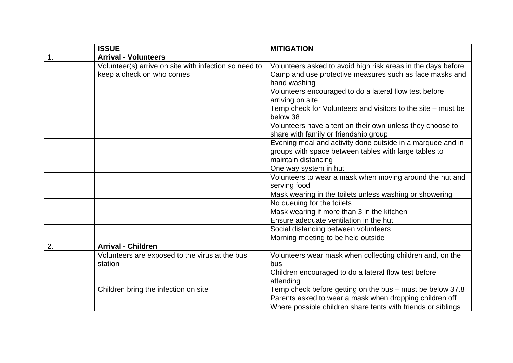|    | <b>ISSUE</b>                                                                       | <b>MITIGATION</b>                                                                                                                          |
|----|------------------------------------------------------------------------------------|--------------------------------------------------------------------------------------------------------------------------------------------|
| 1. | <b>Arrival - Volunteers</b>                                                        |                                                                                                                                            |
|    | Volunteer(s) arrive on site with infection so need to<br>keep a check on who comes | Volunteers asked to avoid high risk areas in the days before<br>Camp and use protective measures such as face masks and<br>hand washing    |
|    |                                                                                    | Volunteers encouraged to do a lateral flow test before<br>arriving on site                                                                 |
|    |                                                                                    | Temp check for Volunteers and visitors to the site - must be<br>below 38                                                                   |
|    |                                                                                    | Volunteers have a tent on their own unless they choose to<br>share with family or friendship group                                         |
|    |                                                                                    | Evening meal and activity done outside in a marquee and in<br>groups with space between tables with large tables to<br>maintain distancing |
|    |                                                                                    | One way system in hut                                                                                                                      |
|    |                                                                                    | Volunteers to wear a mask when moving around the hut and<br>serving food                                                                   |
|    |                                                                                    | Mask wearing in the toilets unless washing or showering                                                                                    |
|    |                                                                                    | No queuing for the toilets                                                                                                                 |
|    |                                                                                    | Mask wearing if more than 3 in the kitchen                                                                                                 |
|    |                                                                                    | Ensure adequate ventilation in the hut                                                                                                     |
|    |                                                                                    | Social distancing between volunteers                                                                                                       |
|    |                                                                                    | Morning meeting to be held outside                                                                                                         |
| 2. | <b>Arrival - Children</b>                                                          |                                                                                                                                            |
|    | Volunteers are exposed to the virus at the bus<br>station                          | Volunteers wear mask when collecting children and, on the<br>bus                                                                           |
|    |                                                                                    | Children encouraged to do a lateral flow test before<br>attending                                                                          |
|    | Children bring the infection on site                                               | Temp check before getting on the bus - must be below 37.8                                                                                  |
|    |                                                                                    | Parents asked to wear a mask when dropping children off                                                                                    |
|    |                                                                                    | Where possible children share tents with friends or siblings                                                                               |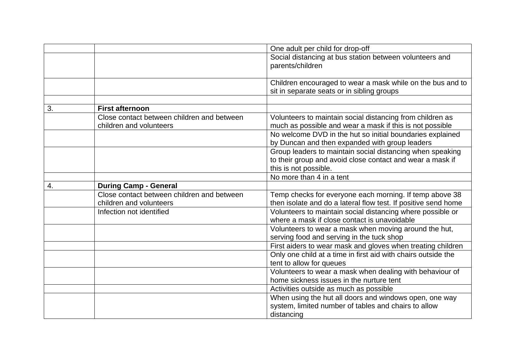|    |                                            | One adult per child for drop-off                               |
|----|--------------------------------------------|----------------------------------------------------------------|
|    |                                            | Social distancing at bus station between volunteers and        |
|    |                                            | parents/children                                               |
|    |                                            |                                                                |
|    |                                            | Children encouraged to wear a mask while on the bus and to     |
|    |                                            | sit in separate seats or in sibling groups                     |
|    |                                            |                                                                |
| 3. | <b>First afternoon</b>                     |                                                                |
|    | Close contact between children and between | Volunteers to maintain social distancing from children as      |
|    | children and volunteers                    | much as possible and wear a mask if this is not possible       |
|    |                                            | No welcome DVD in the hut so initial boundaries explained      |
|    |                                            | by Duncan and then expanded with group leaders                 |
|    |                                            | Group leaders to maintain social distancing when speaking      |
|    |                                            | to their group and avoid close contact and wear a mask if      |
|    |                                            | this is not possible.                                          |
|    |                                            | No more than 4 in a tent                                       |
| 4. | <b>During Camp - General</b>               |                                                                |
|    | Close contact between children and between | Temp checks for everyone each morning. If temp above 38        |
|    | children and volunteers                    | then isolate and do a lateral flow test. If positive send home |
|    | Infection not identified                   | Volunteers to maintain social distancing where possible or     |
|    |                                            | where a mask if close contact is unavoidable                   |
|    |                                            | Volunteers to wear a mask when moving around the hut,          |
|    |                                            | serving food and serving in the tuck shop                      |
|    |                                            | First aiders to wear mask and gloves when treating children    |
|    |                                            | Only one child at a time in first aid with chairs outside the  |
|    |                                            | tent to allow for queues                                       |
|    |                                            | Volunteers to wear a mask when dealing with behaviour of       |
|    |                                            | home sickness issues in the nurture tent                       |
|    |                                            | Activities outside as much as possible                         |
|    |                                            | When using the hut all doors and windows open, one way         |
|    |                                            | system, limited number of tables and chairs to allow           |
|    |                                            | distancing                                                     |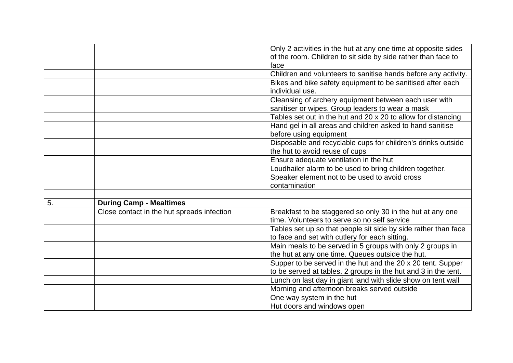|    |                                            | Only 2 activities in the hut at any one time at opposite sides |
|----|--------------------------------------------|----------------------------------------------------------------|
|    |                                            | of the room. Children to sit side by side rather than face to  |
|    |                                            | face                                                           |
|    |                                            | Children and volunteers to sanitise hands before any activity. |
|    |                                            | Bikes and bike safety equipment to be sanitised after each     |
|    |                                            | individual use.                                                |
|    |                                            | Cleansing of archery equipment between each user with          |
|    |                                            | sanitiser or wipes. Group leaders to wear a mask               |
|    |                                            | Tables set out in the hut and 20 x 20 to allow for distancing  |
|    |                                            | Hand gel in all areas and children asked to hand sanitise      |
|    |                                            | before using equipment                                         |
|    |                                            | Disposable and recyclable cups for children's drinks outside   |
|    |                                            | the hut to avoid reuse of cups                                 |
|    |                                            | Ensure adequate ventilation in the hut                         |
|    |                                            | Loudhailer alarm to be used to bring children together.        |
|    |                                            | Speaker element not to be used to avoid cross                  |
|    |                                            | contamination                                                  |
|    |                                            |                                                                |
| 5. | <b>During Camp - Mealtimes</b>             |                                                                |
|    | Close contact in the hut spreads infection | Breakfast to be staggered so only 30 in the hut at any one     |
|    |                                            | time. Volunteers to serve so no self service                   |
|    |                                            | Tables set up so that people sit side by side rather than face |
|    |                                            | to face and set with cutlery for each sitting.                 |
|    |                                            | Main meals to be served in 5 groups with only 2 groups in      |
|    |                                            | the hut at any one time. Queues outside the hut.               |
|    |                                            | Supper to be served in the hut and the 20 x 20 tent. Supper    |
|    |                                            | to be served at tables. 2 groups in the hut and 3 in the tent. |
|    |                                            | Lunch on last day in giant land with slide show on tent wall   |
|    |                                            | Morning and afternoon breaks served outside                    |
|    |                                            | One way system in the hut                                      |
|    |                                            | Hut doors and windows open                                     |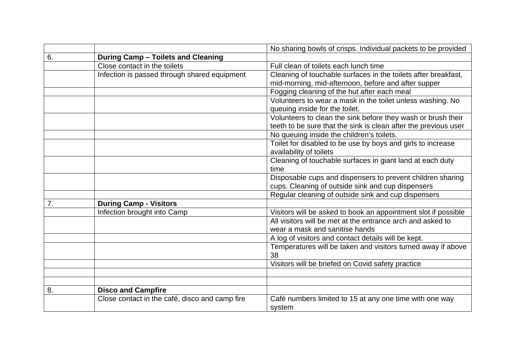|    |                                                | No sharing bowls of crisps. Individual packets to be provided      |
|----|------------------------------------------------|--------------------------------------------------------------------|
| 6. | During Camp - Toilets and Cleaning             |                                                                    |
|    | Close contact in the toilets                   | Full clean of toilets each lunch time                              |
|    | Infection is passed through shared equipment   | Cleaning of touchable surfaces in the toilets after breakfast,     |
|    |                                                | mid-morning, mid-afternoon, before and after supper                |
|    |                                                | Fogging cleaning of the hut after each meal                        |
|    |                                                | Volunteers to wear a mask in the toilet unless washing. No         |
|    |                                                | queuing inside for the toilet.                                     |
|    |                                                | Volunteers to clean the sink before they wash or brush their       |
|    |                                                | teeth to be sure that the sink is clean after the previous user    |
|    |                                                | No queuing inside the children's toilets.                          |
|    |                                                | Toilet for disabled to be use by boys and girls to increase        |
|    |                                                | availability of toilets                                            |
|    |                                                | Cleaning of touchable surfaces in giant land at each duty          |
|    |                                                | time                                                               |
|    |                                                | Disposable cups and dispensers to prevent children sharing         |
|    |                                                | cups. Cleaning of outside sink and cup dispensers                  |
|    |                                                | Regular cleaning of outside sink and cup dispensers                |
| 7. | <b>During Camp - Visitors</b>                  |                                                                    |
|    | Infection brought into Camp                    | Visitors will be asked to book an appointment slot if possible     |
|    |                                                | All visitors will be met at the entrance arch and asked to         |
|    |                                                | wear a mask and sanitise hands                                     |
|    |                                                | A log of visitors and contact details will be kept.                |
|    |                                                | Temperatures will be taken and visitors turned away if above<br>38 |
|    |                                                | Visitors will be briefed on Covid safety practice                  |
|    |                                                |                                                                    |
|    |                                                |                                                                    |
| 8. | <b>Disco and Campfire</b>                      |                                                                    |
|    | Close contact in the café, disco and camp fire | Café numbers limited to 15 at any one time with one way<br>system  |